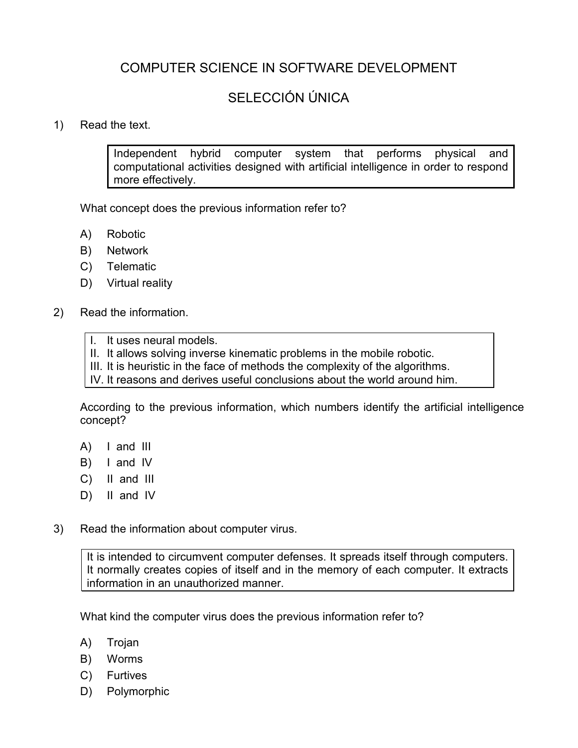# COMPUTER SCIENCE IN SOFTWARE DEVELOPMENT

# SELECCIÓN ÚNICA

# 1) Read the text.

Independent hybrid computer system that performs physical and computational activities designed with artificial intelligence in order to respond more effectively.

What concept does the previous information refer to?

- A) Robotic
- B) Network
- C) Telematic
- D) Virtual reality
- 2) Read the information.

### I. It uses neural models.

- II. It allows solving inverse kinematic problems in the mobile robotic.
- III. It is heuristic in the face of methods the complexity of the algorithms.
- IV. It reasons and derives useful conclusions about the world around him.

According to the previous information, which numbers identify the artificial intelligence concept?

- A) I and III
- B) I and IV
- C) II and III
- D) II and IV
- 3) Read the information about computer virus.

It is intended to circumvent computer defenses. It spreads itself through computers. It normally creates copies of itself and in the memory of each computer. It extracts information in an unauthorized manner.

What kind the computer virus does the previous information refer to?

- A) Trojan
- B) Worms
- C) Furtives
- D) Polymorphic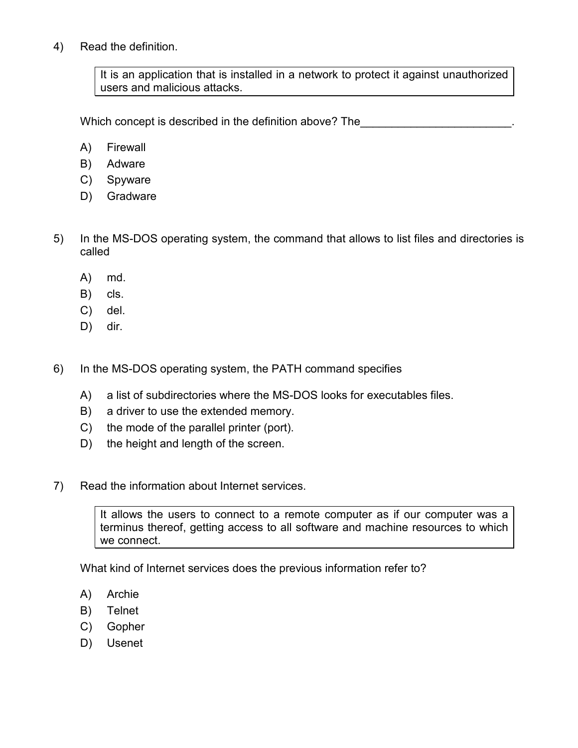4) Read the definition.

It is an application that is installed in a network to protect it against unauthorized users and malicious attacks.

Which concept is described in the definition above? The

- A) Firewall
- B) Adware
- C) Spyware
- D) Gradware
- 5) In the MS-DOS operating system, the command that allows to list files and directories is called
	- A) md.
	- B) cls.
	- C) del.
	- D) dir.
- 6) In the MS-DOS operating system, the PATH command specifies
	- A) a list of subdirectories where the MS-DOS looks for executables files.
	- B) a driver to use the extended memory.
	- C) the mode of the parallel printer (port).
	- D) the height and length of the screen.
- 7) Read the information about Internet services.

It allows the users to connect to a remote computer as if our computer was a terminus thereof, getting access to all software and machine resources to which we connect.

What kind of Internet services does the previous information refer to?

- A) Archie
- B) Telnet
- C) Gopher
- D) Usenet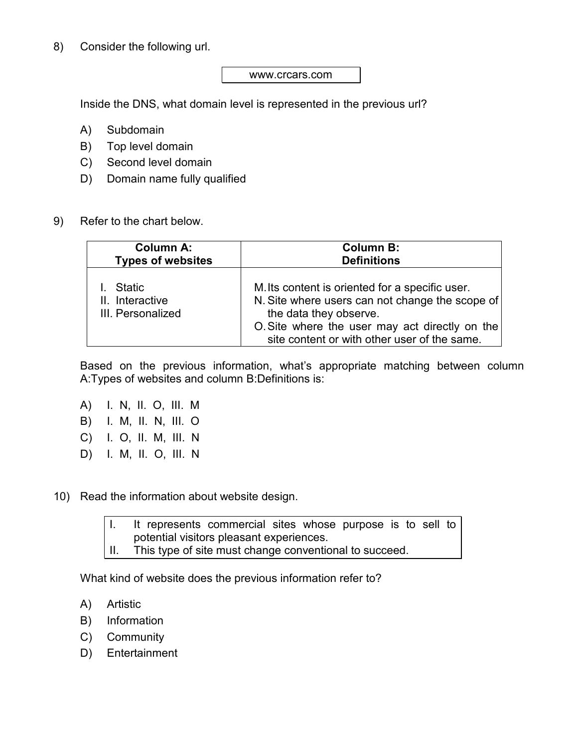8) Consider the following url.

#### www.crcars.com

Inside the DNS, what domain level is represented in the previous url?

- A) Subdomain
- B) Top level domain
- C) Second level domain
- D) Domain name fully qualified
- 9) Refer to the chart below.

| <b>Column A:</b>                               | <b>Column B:</b>                                                                                                                                                                                                               |  |  |
|------------------------------------------------|--------------------------------------------------------------------------------------------------------------------------------------------------------------------------------------------------------------------------------|--|--|
| <b>Types of websites</b>                       | <b>Definitions</b>                                                                                                                                                                                                             |  |  |
| Static<br>II. Interactive<br>III. Personalized | M. Its content is oriented for a specific user.<br>N. Site where users can not change the scope of<br>the data they observe.<br>O. Site where the user may act directly on the<br>site content or with other user of the same. |  |  |

Based on the previous information, what's appropriate matching between column A:Types of websites and column B:Definitions is:

- A) I. N, II. O, III. M B) I. M, II. N, III. O C) I. O, II. M, III. N D) I. M, II. O, III. N
- 10) Read the information about website design.

I. It represents commercial sites whose purpose is to sell to potential visitors pleasant experiences. II. This type of site must change conventional to succeed.

What kind of website does the previous information refer to?

- A) Artistic
- B) Information
- C) Community
- D) Entertainment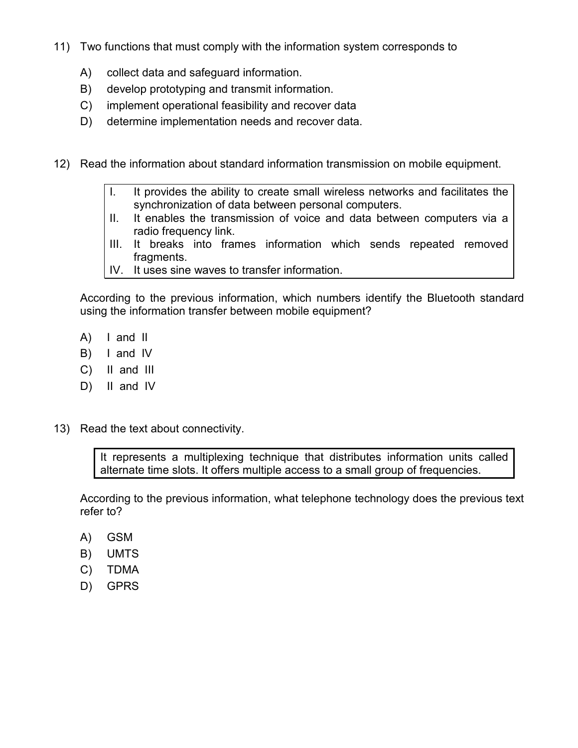- 11) Two functions that must comply with the information system corresponds to
	- A) collect data and safeguard information.
	- B) develop prototyping and transmit information.
	- C) implement operational feasibility and recover data
	- D) determine implementation needs and recover data.
- 12) Read the information about standard information transmission on mobile equipment.
	- I. It provides the ability to create small wireless networks and facilitates the synchronization of data between personal computers.
	- II. It enables the transmission of voice and data between computers via a radio frequency link.
	- III. It breaks into frames information which sends repeated removed fragments.
	- IV. It uses sine waves to transfer information.

According to the previous information, which numbers identify the Bluetooth standard using the information transfer between mobile equipment?

- A) I and II
- B) I and IV
- C) II and III
- D) II and IV
- 13) Read the text about connectivity.

It represents a multiplexing technique that distributes information units called alternate time slots. It offers multiple access to a small group of frequencies.

According to the previous information, what telephone technology does the previous text refer to?

- A) GSM
- B) UMTS
- C) TDMA
- D) GPRS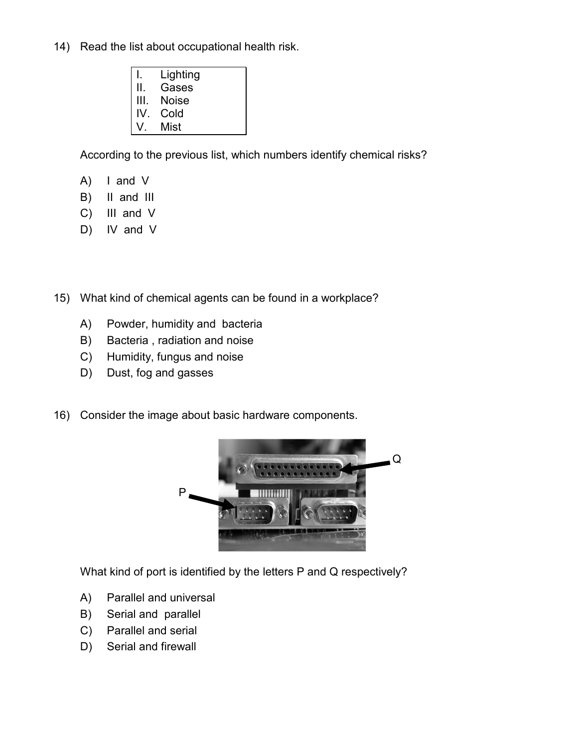- 14) Read the list about occupational health risk.
	- I. Lighting II. Gases III. Noise IV. Cold V. Mist

According to the previous list, which numbers identify chemical risks?

- A) I and V
- B) II and III
- C) III and V
- D) IV and V

15) What kind of chemical agents can be found in a workplace?

- A) Powder, humidity and bacteria
- B) Bacteria , radiation and noise
- C) Humidity, fungus and noise
- D) Dust, fog and gasses
- 16) Consider the image about basic hardware components.



What kind of port is identified by the letters P and Q respectively?

- A) Parallel and universal
- B) Serial and parallel
- C) Parallel and serial
- D) Serial and firewall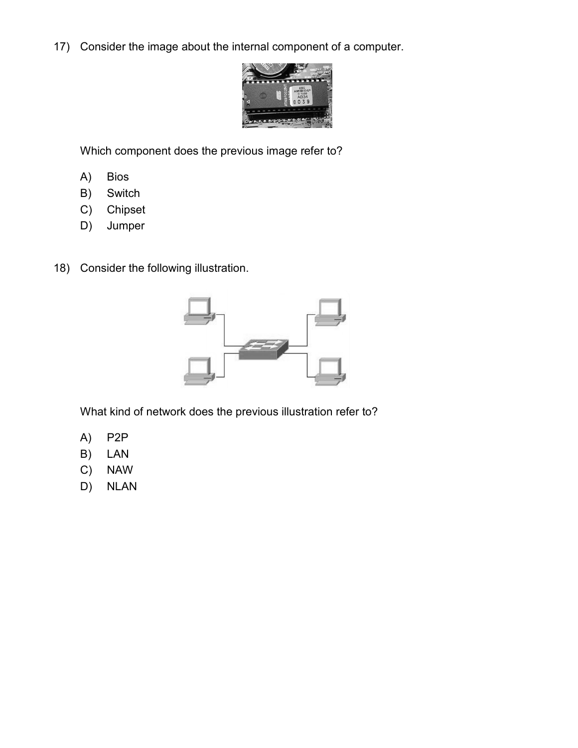17) Consider the image about the internal component of a computer.



Which component does the previous image refer to?

- A) Bios
- B) Switch
- C) Chipset
- D) Jumper
- 18) Consider the following illustration.



What kind of network does the previous illustration refer to?

- A) P2P
- B) LAN
- C) NAW
- D) NLAN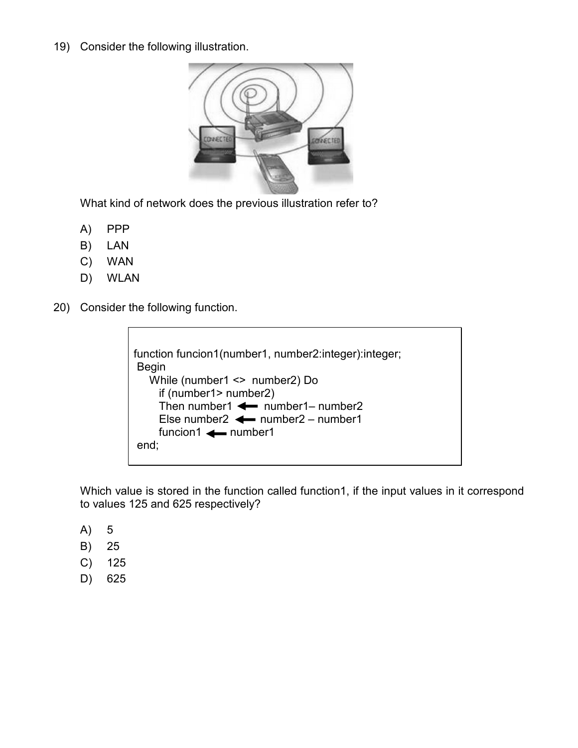19) Consider the following illustration.



What kind of network does the previous illustration refer to?

- A) PPP
- B) LAN
- C) WAN
- D) WLAN
- 20) Consider the following function.

function funcion1(number1, number2:integer):integer; Begin While (number1 <> number2) Do if (number1> number2) Then number1  $\leftarrow$  number1– number2 Else number2  $\leftarrow$  number2 – number1  $function1 \leftarrow number1$ end;

Which value is stored in the function called function1, if the input values in it correspond to values 125 and 625 respectively?

- A) 5
- B) 25
- C) 125
- D) 625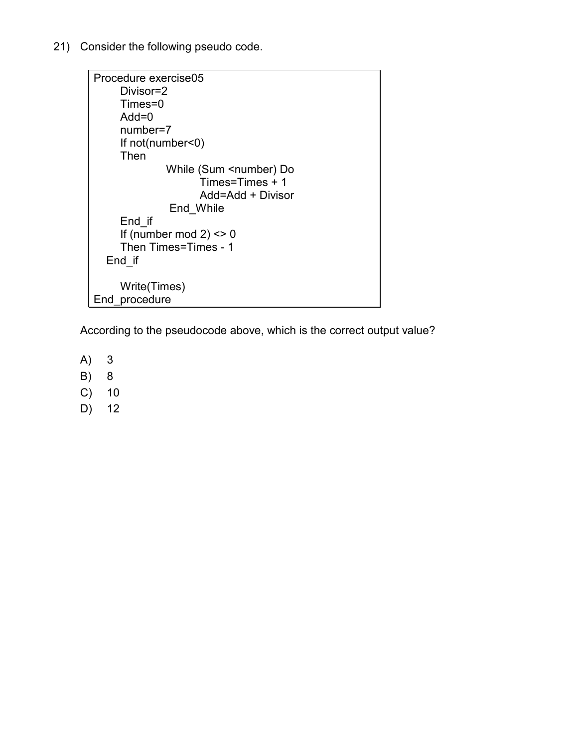21) Consider the following pseudo code.

```
Procedure exercise05 
      Divisor=2 
      Times=0 
      Add=0 
      number=7 
      If not(number<0) 
      Then 
              While (Sum <number) Do
                      Times=Times + 1 
                      Add=Add + Divisor 
                End_While 
      End_if 
     If (number mod 2) <> 0
      Then Times=Times - 1 
   End_if 
      Write(Times) 
End_procedure
```
According to the pseudocode above, which is the correct output value?

- A) 3
- B) 8
- C) 10
- D) 12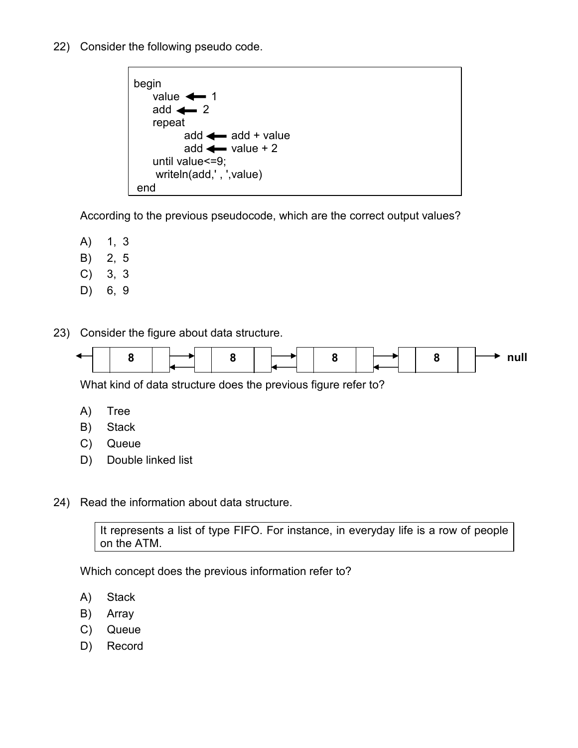22) Consider the following pseudo code.



According to the previous pseudocode, which are the correct output values?

- A) 1, 3
- B) 2, 5
- C) 3, 3
- D) 6, 9

23) Consider the figure about data structure.



What kind of data structure does the previous figure refer to?

- A) Tree
- B) Stack
- C) Queue
- D) Double linked list
- 24) Read the information about data structure.

It represents a list of type FIFO. For instance, in everyday life is a row of people on the ATM.

Which concept does the previous information refer to?

- A) Stack
- B) Array
- C) Queue
- D) Record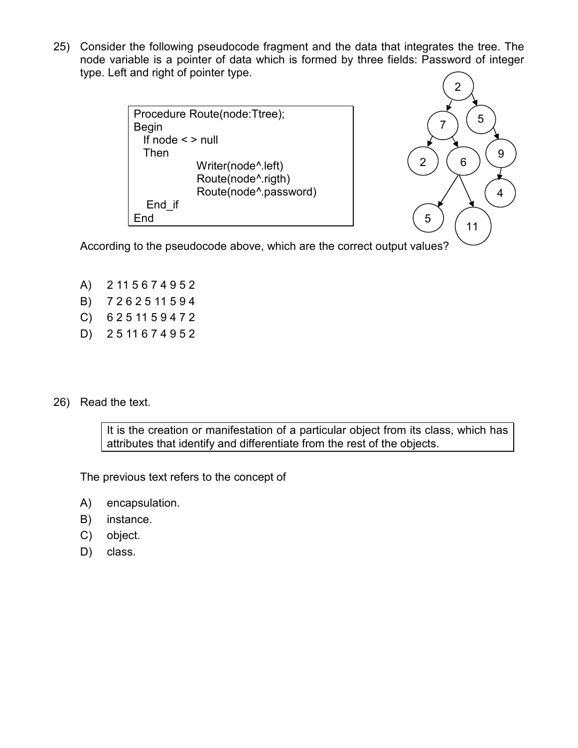25) Consider the following pseudocode fragment and the data that integrates the tree. The node variable is a pointer of data which is formed by three fields: Password of integer type. Left and right of pointer type.

```
Procedure Route(node:Ttree); 
Begin 
   If node < > null 
   Then 
              Writer(node^.left) 
              Route(node^.rigth) 
              Route(node^.password) 
   End_if 
End
```


According to the pseudocode above, which are the correct output values?

- A) 2 11 5 6 7 4 9 5 2
- B) 7 2 6 2 5 11 5 9 4
- C) 6 2 5 11 5 9 4 7 2
- D) 2 5 11 6 7 4 9 5 2
- 26) Read the text.

It is the creation or manifestation of a particular object from its class, which has attributes that identify and differentiate from the rest of the objects.

The previous text refers to the concept of

- A) encapsulation.
- B) instance.
- C) object.
- D) class.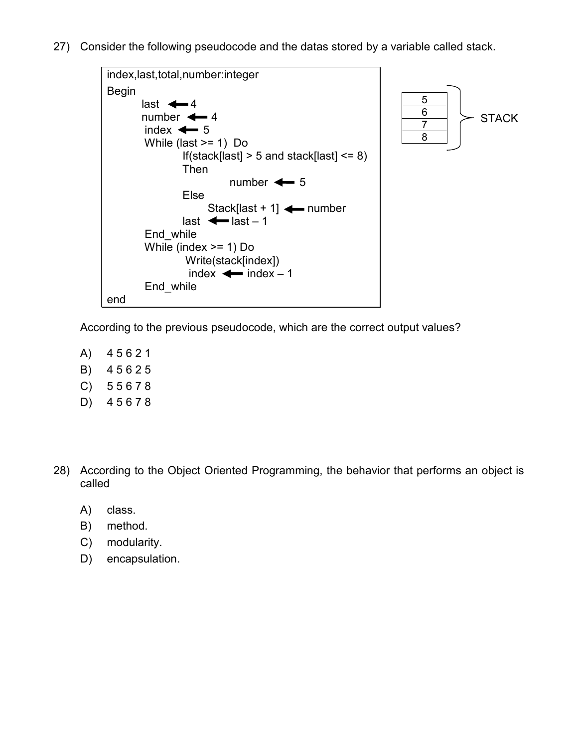27) Consider the following pseudocode and the datas stored by a variable called stack.



According to the previous pseudocode, which are the correct output values?

- A) 4 5 6 2 1
- B) 4 5 6 2 5
- C) 5 5 6 7 8
- D) 4 5 6 7 8
- 28) According to the Object Oriented Programming, the behavior that performs an object is called
	- A) class.
	- B) method.
	- C) modularity.
	- D) encapsulation.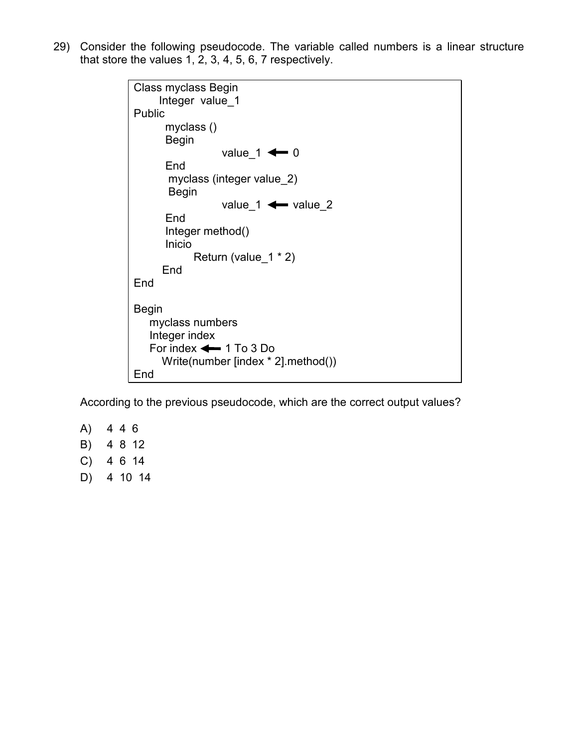29) Consider the following pseudocode. The variable called numbers is a linear structure that store the values  $1, 2, 3, 4, 5, 6, 7$  respectively.

> Class myclass Begin Integer value\_1 Public myclass () Begin value  $1 \leftarrow 0$  End myclass (integer value\_2) Begin value  $1 \leftarrow$  value 2 End Integer method() Inicio Return (value  $1 * 2$ ) End End Begin myclass numbers Integer index For index  $\leftarrow$  1 To 3 Do Write(number [index \* 2].method()) End

According to the previous pseudocode, which are the correct output values?

- A) 4 4 6
- B) 4 8 12
- C) 4 6 14
- D) 4 10 14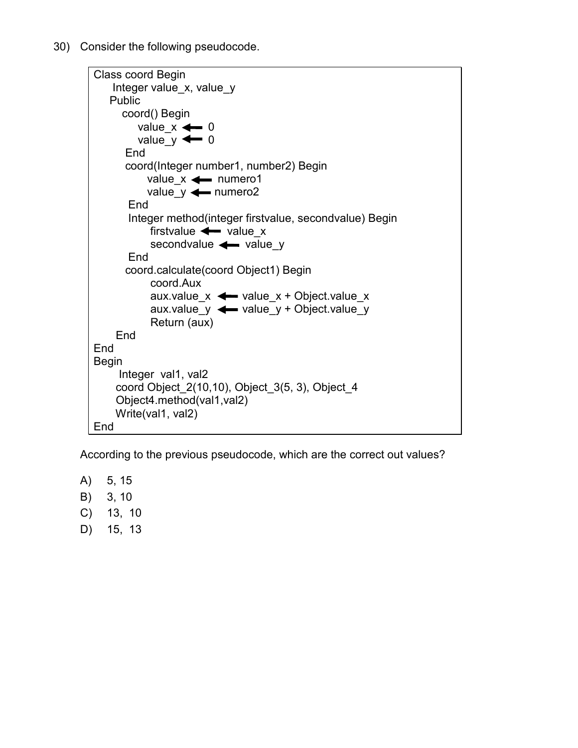30) Consider the following pseudocode.

```
Class coord Begin 
     Integer value_x, value_y 
    Public 
       coord() Begin 
         value_x \leftarrow 0value_y \leftarrow 0 End 
        coord(Integer number1, number2) Begin 
            value_x \leftarrow numero1
            value y \leftarrow numero2
        End 
        Integer method(integer firstvalue, secondvalue) Begin 
            firstvalue \leftarrow value x
            secondvalue \leftarrow value_y
        End 
        coord.calculate(coord Object1) Begin 
             coord.Aux 
            aux.value_x \leftarrow \text{value}_x + \text{Object value}_xaux.value_y \leftarrow value_y + Object.value_y Return (aux) 
      End 
End 
Begin 
      Integer val1, val2 
      coord Object_2(10,10), Object_3(5, 3), Object_4 
      Object4.method(val1,val2) 
     Write(val1, val2)
End
```
According to the previous pseudocode, which are the correct out values?

- A) 5, 15
- B) 3, 10
- C) 13, 10
- D) 15, 13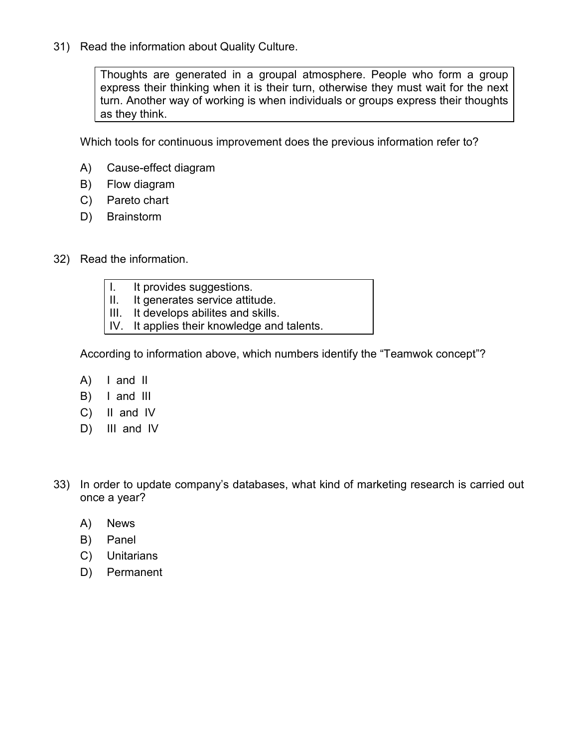31) Read the information about Quality Culture.

Thoughts are generated in a groupal atmosphere. People who form a group express their thinking when it is their turn, otherwise they must wait for the next turn. Another way of working is when individuals or groups express their thoughts as they think.

Which tools for continuous improvement does the previous information refer to?

- A) Cause-effect diagram
- B) Flow diagram
- C) Pareto chart
- D) Brainstorm
- 32) Read the information.
	- I. It provides suggestions.
	- II. It generates service attitude.
	- III. It develops abilites and skills.
	- IV. It applies their knowledge and talents.

According to information above, which numbers identify the "Teamwok concept"?

- A) I and II
- B) I and III
- C) II and IV
- D) III and IV
- 33) In order to update company's databases, what kind of marketing research is carried out once a year?
	- A) News
	- B) Panel
	- C) Unitarians
	- D) Permanent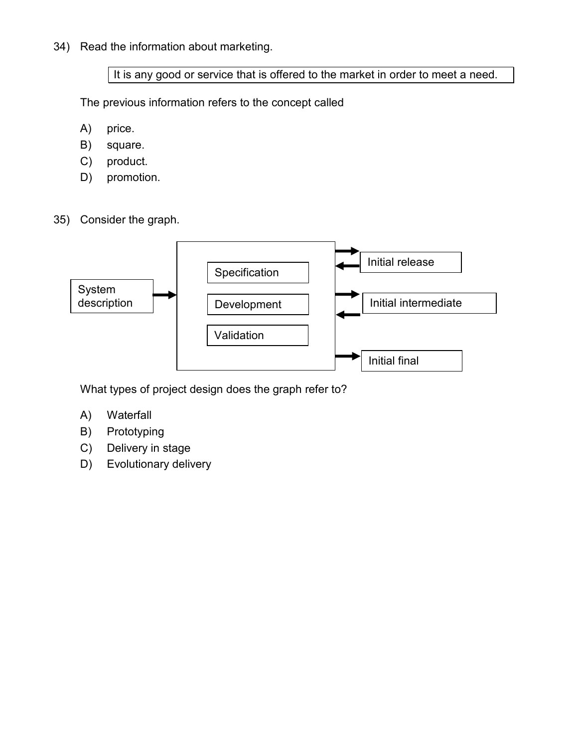34) Read the information about marketing.

It is any good or service that is offered to the market in order to meet a need.

The previous information refers to the concept called

- A) price.
- B) square.
- C) product.
- D) promotion.
- 35) Consider the graph.



What types of project design does the graph refer to?

- A) Waterfall
- B) Prototyping
- C) Delivery in stage
- D) Evolutionary delivery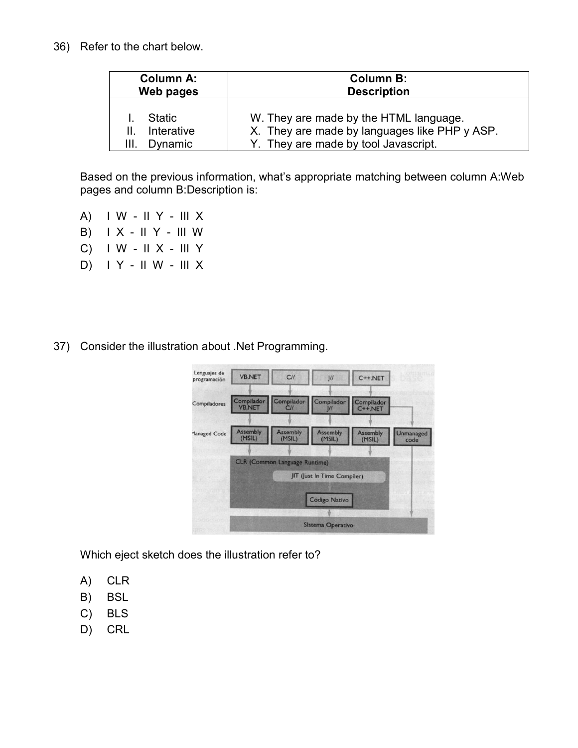36) Refer to the chart below.

| <b>Column A:</b>                             | <b>Column B:</b>                                                                                                                |  |  |  |
|----------------------------------------------|---------------------------------------------------------------------------------------------------------------------------------|--|--|--|
| Web pages                                    | <b>Description</b>                                                                                                              |  |  |  |
| <b>Static</b><br>Interative<br>Dynamic<br>Ш. | W. They are made by the HTML language.<br>X. They are made by languages like PHP y ASP.<br>Y. They are made by tool Javascript. |  |  |  |

Based on the previous information, what's appropriate matching between column A:Web pages and column B:Description is:

- A) I W II Y III X
- B)  $IX II Y III W$
- C) I W II X III Y
- D) I Y II W III X
- 37) Consider the illustration about .Net Programming.

| Lenguajes de<br>programación | <b>VB.NET</b>      | CII                                  | U                                            | $C++.NET$                 |                   |
|------------------------------|--------------------|--------------------------------------|----------------------------------------------|---------------------------|-------------------|
| Compiladores                 |                    |                                      | Compilador Compilador Compilador VB.NET C//  | Compilador<br>C++.NET     |                   |
| Managed Code                 | Assembly<br>(MSIL) | <b>Assembly</b><br>(MSIL)            | <b>Assembly</b><br>(MSIL)                    | <b>Assembly</b><br>(MSIL) | Unmanaged<br>code |
|                              |                    | <b>CLR (Common Language Runtime)</b> |                                              |                           |                   |
|                              |                    |                                      | JIT (Just In Time Compiler)<br>Código Nativo |                           |                   |
|                              |                    |                                      | Sistema Operativo                            |                           |                   |

Which eject sketch does the illustration refer to?

- A) CLR
- B) BSL
- C) BLS
- D) CRL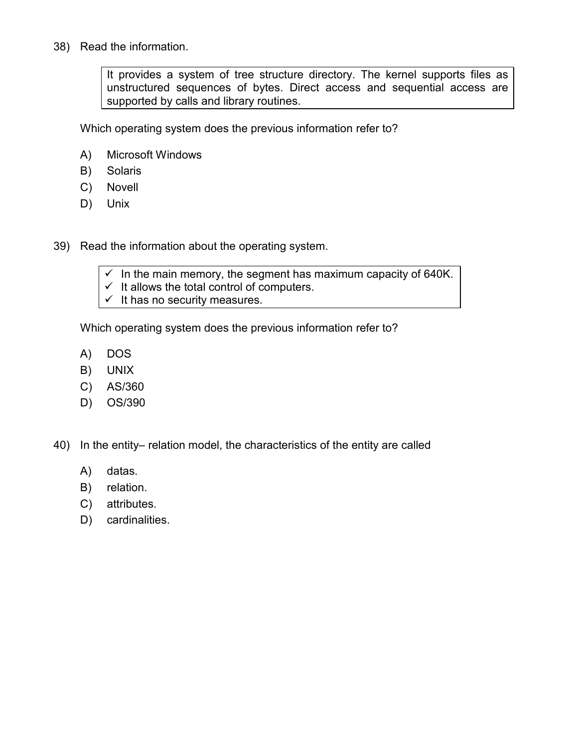38) Read the information.

It provides a system of tree structure directory. The kernel supports files as unstructured sequences of bytes. Direct access and sequential access are supported by calls and library routines.

Which operating system does the previous information refer to?

- A) Microsoft Windows
- B) Solaris
- C) Novell
- D) Unix
- 39) Read the information about the operating system.
	- $\checkmark$  In the main memory, the segment has maximum capacity of 640K.
	- $\checkmark$  It allows the total control of computers.
	- $\checkmark$  It has no security measures.

Which operating system does the previous information refer to?

- A) DOS
- B) UNIX
- C) AS/360
- D) OS/390
- 40) In the entity– relation model, the characteristics of the entity are called
	- A) datas.
	- B) relation.
	- C) attributes.
	- D) cardinalities.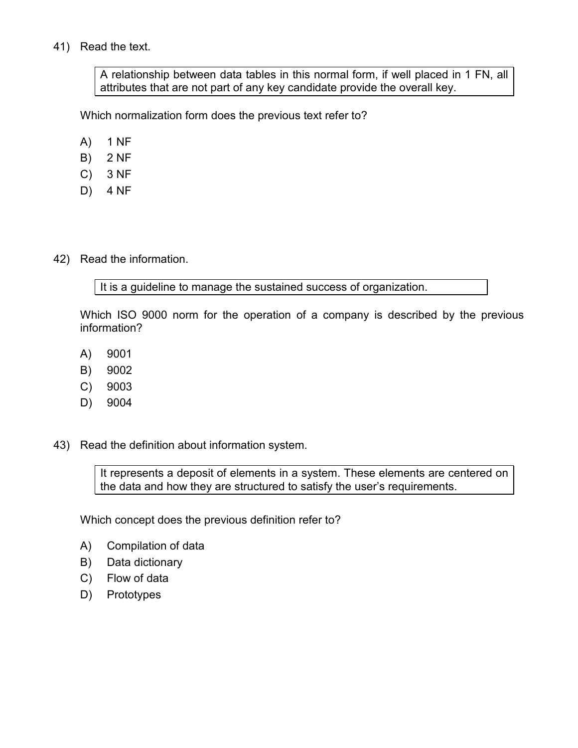# 41) Read the text.

A relationship between data tables in this normal form, if well placed in 1 FN, all attributes that are not part of any key candidate provide the overall key.

Which normalization form does the previous text refer to?

- A) 1 NF
- B) 2 NF
- C) 3 NF
- D) 4 NF
- 42) Read the information.

It is a guideline to manage the sustained success of organization.

Which ISO 9000 norm for the operation of a company is described by the previous information?

- A) 9001
- B) 9002
- C) 9003
- D) 9004
- 43) Read the definition about information system.

It represents a deposit of elements in a system. These elements are centered on the data and how they are structured to satisfy the user's requirements.

Which concept does the previous definition refer to?

- A) Compilation of data
- B) Data dictionary
- C) Flow of data
- D) Prototypes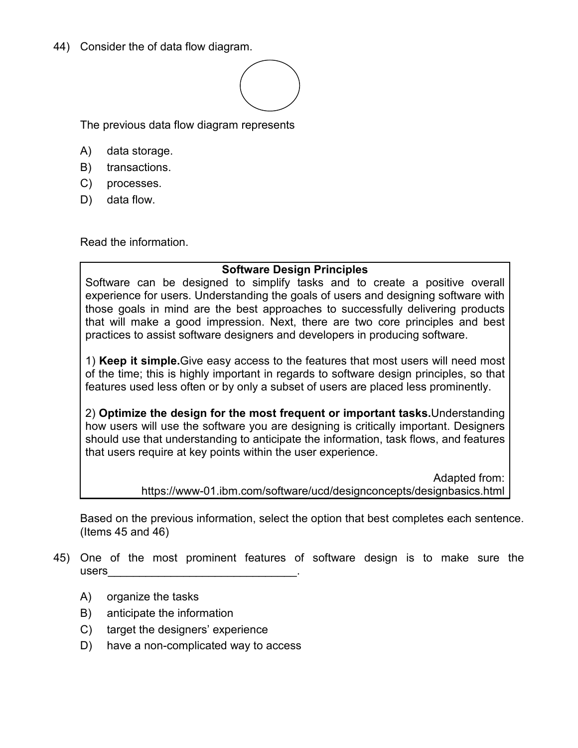44) Consider the of data flow diagram.



The previous data flow diagram represents

- A) data storage.
- B) transactions.
- C) processes.
- D) data flow.

Read the information.

# **Software Design Principles**

Software can be designed to simplify tasks and to create a positive overall experience for users. Understanding the goals of users and designing software with those goals in mind are the best approaches to successfully delivering products that will make a good impression. Next, there are two core principles and best practices to assist software designers and developers in producing software.

1) **Keep it simple.**Give easy access to the features that most users will need most of the time; this is highly important in regards to software design principles, so that features used less often or by only a subset of users are placed less prominently.

2) **Optimize the design for the most frequent or important tasks.**Understanding how users will use the software you are designing is critically important. Designers should use that understanding to anticipate the information, task flows, and features that users require at key points within the user experience.

> Adapted from: https://www-01.ibm.com/software/ucd/designconcepts/designbasics.html

Based on the previous information, select the option that best completes each sentence. (Items 45 and 46)

- 45) One of the most prominent features of software design is to make sure the users\_\_\_\_\_\_\_\_\_\_\_\_\_\_\_\_\_\_\_\_\_\_\_\_\_\_\_\_\_\_.
	- A) organize the tasks
	- B) anticipate the information
	- C) target the designers' experience
	- D) have a non-complicated way to access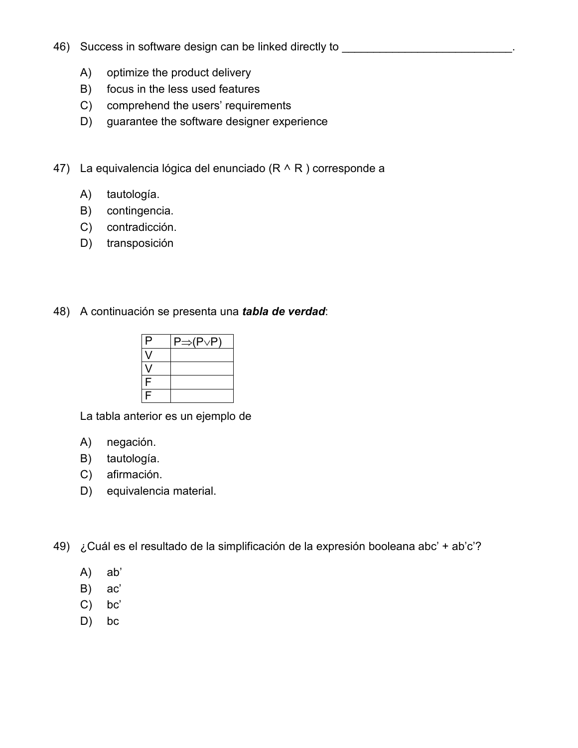- 46) Success in software design can be linked directly to \_\_\_\_\_\_\_\_\_\_\_\_\_\_\_\_\_\_\_\_\_\_\_
	- A) optimize the product delivery
	- B) focus in the less used features
	- C) comprehend the users' requirements
	- D) guarantee the software designer experience
- 47) La equivalencia lógica del enunciado ( $R \wedge R$ ) corresponde a
	- A) tautología.
	- B) contingencia.
	- C) contradicción.
	- D) transposición
- 48) A continuación se presenta una *tabla de verdad*:

| P | ⇒(P∨P` |
|---|--------|
|   |        |
|   |        |
| F |        |
| F |        |

La tabla anterior es un ejemplo de

- A) negación.
- B) tautología.
- C) afirmación.
- D) equivalencia material.
- 49) ¿Cuál es el resultado de la simplificación de la expresión booleana abc' + ab'c'?
	- A) ab'
	- B) ac'
	- C) bc'
	- D) bc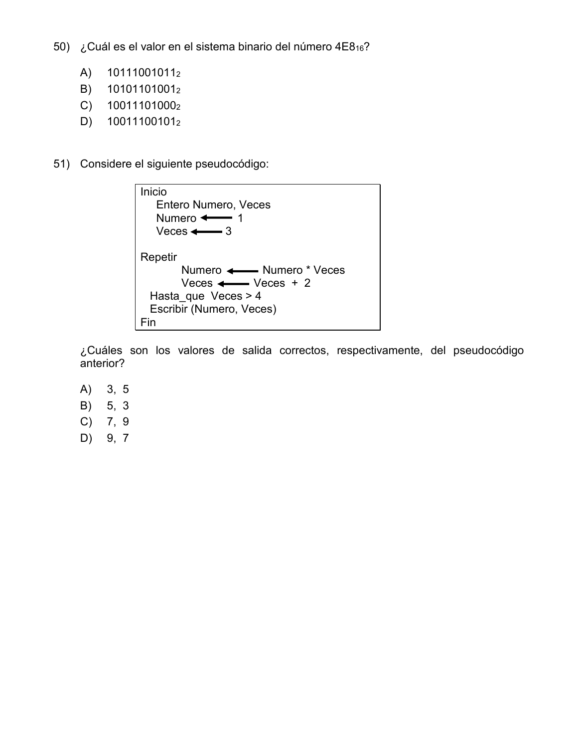50) ¿Cuál es el valor en el sistema binario del número 4E8<sub>16</sub>?

- A) 10111001011<sup>2</sup>
- B) 10101101001<sub>2</sub>
- C) 10011101000<sub>2</sub>
- D) 10011100101<sup>2</sup>
- 51) Considere el siguiente pseudocódigo:

| Inicio<br>Entero Numero, Veces<br>Numero $\leftarrow$ 1<br>Veces $\leftarrow$ 3                                                    |  |
|------------------------------------------------------------------------------------------------------------------------------------|--|
| Repetir<br>Numero < Numero * Veces<br>Veces $\longleftarrow$ Veces + 2<br>Hasta que Veces $> 4$<br>Escribir (Numero, Veces)<br>Fin |  |

¿Cuáles son los valores de salida correctos, respectivamente, del pseudocódigo anterior?

- A) 3, 5
- B) 5, 3
- C) 7, 9
- D) 9, 7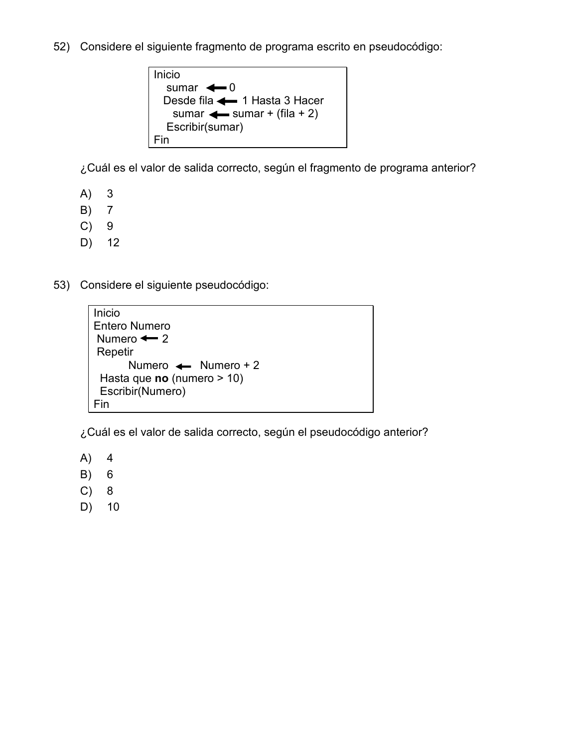52) Considere el siguiente fragmento de programa escrito en pseudocódigo:

```
Inicio 
  sumar \leftarrow 0Desde fila \leftarrow 1 Hasta 3 Hacer
    sumar \leftarrow sumar + (fila + 2)
   Escribir(sumar) 
Fin
```
¿Cuál es el valor de salida correcto, según el fragmento de programa anterior?

- A) 3
- B) 7
- C) 9
- D) 12
- 53) Considere el siguiente pseudocódigo:

```
Inicio 
Entero Numero 
Numero \leftarrow 2
 Repetir 
       Numero \leftarrow Numero + 2
  Hasta que no (numero > 10) 
  Escribir(Numero) 
Fin
```
¿Cuál es el valor de salida correcto, según el pseudocódigo anterior?

- A) 4
- B) 6
- C) 8
- D) 10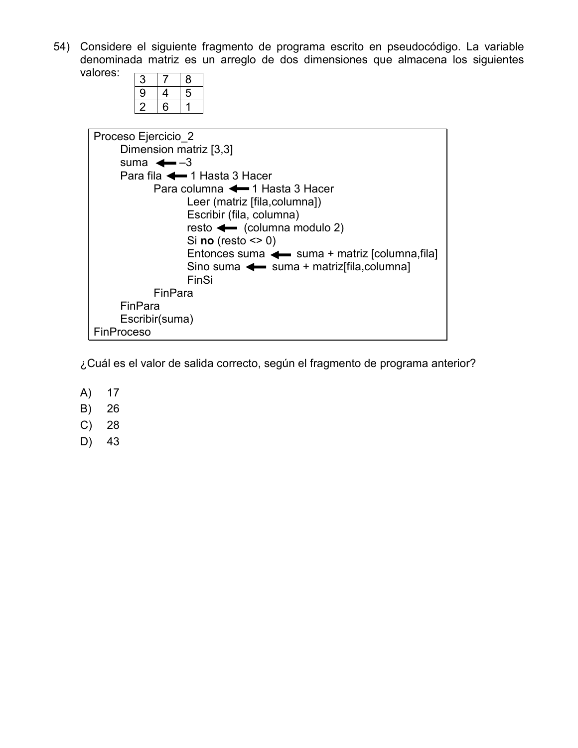54) Considere el siguiente fragmento de programa escrito en pseudocódigo. La variable denominada matriz es un arreglo de dos dimensiones que almacena los siguientes valores:

| З |   | 8 |
|---|---|---|
| 9 | 4 | 5 |
| ン | 6 |   |

| Proceso Ejercicio 2                           |
|-----------------------------------------------|
| Dimension matriz [3,3]                        |
| suma $\leftarrow -3$                          |
| Para fila <a>1 Hasta 3 Hacer</a>              |
| Para columna <a>1 Hasta 3 Hacer</a>           |
| Leer (matriz [fila, columna])                 |
| Escribir (fila, columna)                      |
| resto $\leftarrow$ (columna modulo 2)         |
| Si no (resto $\leq$ 0)                        |
| Entonces suma < suma + matriz [columna, fila] |
| Sino suma < suma + matrizoila, columna        |
| FinSi                                         |
| FinPara                                       |
| FinPara                                       |
| Escribir(suma)                                |
| <b>FinProceso</b>                             |

¿Cuál es el valor de salida correcto, según el fragmento de programa anterior?

- A) 17
- B) 26
- C) 28
- D) 43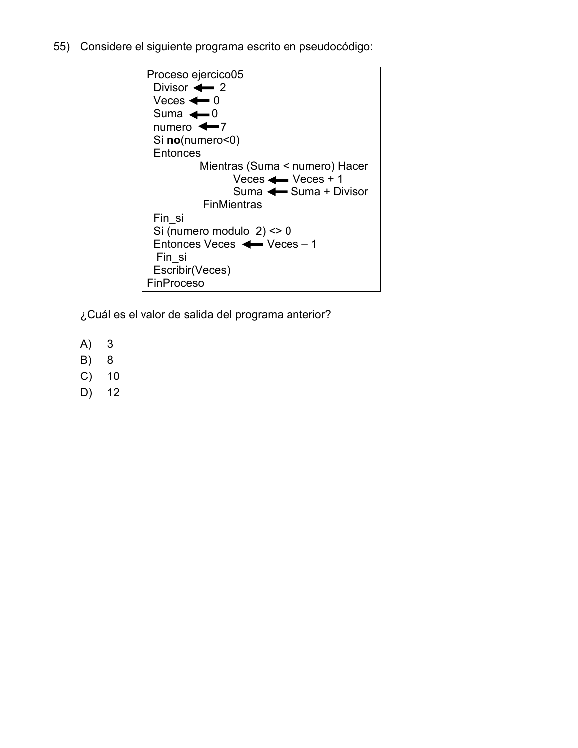55) Considere el siguiente programa escrito en pseudocódigo:

```
Proceso ejercico05 
 Divisor \leftarrow 2
 Veces \leftarrow 0Suma \leftarrow 0numero \leftarrow7
  Si no(numero<0) 
 Entonces
           Mientras (Suma < numero) Hacer 
                 Vecess Veces + 1
                  Suma \leftarrow Suma + Divisor
           FinMientras
  Fin_si 
  Si (numero modulo 2) <> 0 
 Entonces Veces \leftarrow Veces - 1
  Fin_si 
  Escribir(Veces) 
FinProceso
```
¿Cuál es el valor de salida del programa anterior?

- A) 3
- B) 8
- C) 10
- D) 12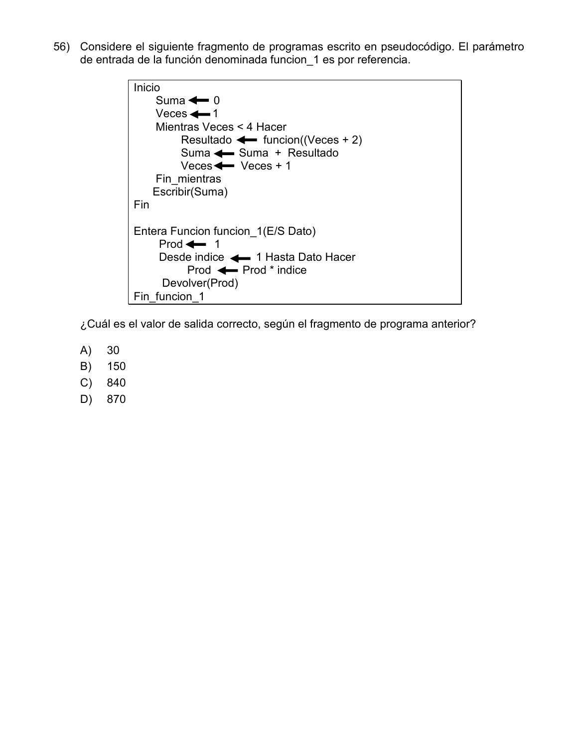56) Considere el siguiente fragmento de programas escrito en pseudocódigo. El parámetro de entrada de la función denominada funcion\_1 es por referencia.

```
Inicio 
    Suma \leftarrow 0
    Veces \leftarrow 1
     Mientras Veces < 4 Hacer 
         Resultado \leftarrow funcion((Veces + 2)
Suma <del>< Suma</del> + Resultado
 Veces Veces + 1 
    Fin_mientras
    Escribir(Suma) 
Fin 
Entera Funcion funcion_1(E/S Dato) 
     Prod 1
    Desde indice \leftarrow 1 Hasta Dato Hacer
          Prod \leftarrow Prod * indice
      Devolver(Prod) 
Fin_funcion_1
```
¿Cuál es el valor de salida correcto, según el fragmento de programa anterior?

- A) 30
- B) 150
- C) 840
- D) 870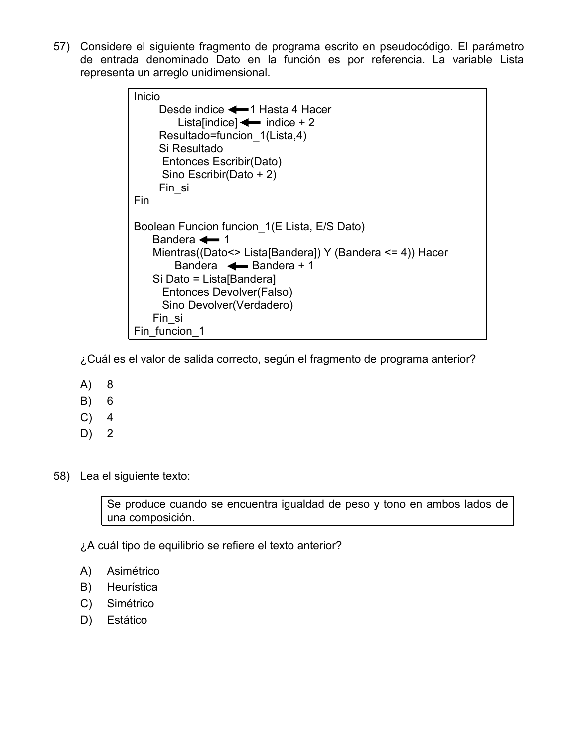57) Considere el siguiente fragmento de programa escrito en pseudocódigo. El parámetro de entrada denominado Dato en la función es por referencia. La variable Lista representa un arreglo unidimensional.

```
Inicio 
     Desde indice \leftarrow 1 Hasta 4 Hacer
         Lista[indice] \leftarrow indice + 2
      Resultado=funcion_1(Lista,4) 
      Si Resultado 
       Entonces Escribir(Dato) 
       Sino Escribir(Dato + 2) 
      Fin_si 
Fin 
Boolean Funcion funcion_1(E Lista, E/S Dato) 
    Bandera \leftarrow 1
     Mientras((Dato<> Lista[Bandera]) Y (Bandera <= 4)) Hacer 
        Bandera \leftarrow Bandera + 1
     Si Dato = Lista[Bandera] 
       Entonces Devolver(Falso) 
       Sino Devolver(Verdadero) 
     Fin_si 
Fin funcion 1
```
¿Cuál es el valor de salida correcto, según el fragmento de programa anterior?

- A) 8
- B) 6
- $C)$  4
- D) 2

58) Lea el siguiente texto:

Se produce cuando se encuentra igualdad de peso y tono en ambos lados de una composición.

¿A cuál tipo de equilibrio se refiere el texto anterior?

- A) Asimétrico
- B) Heurística
- C) Simétrico
- D) Estático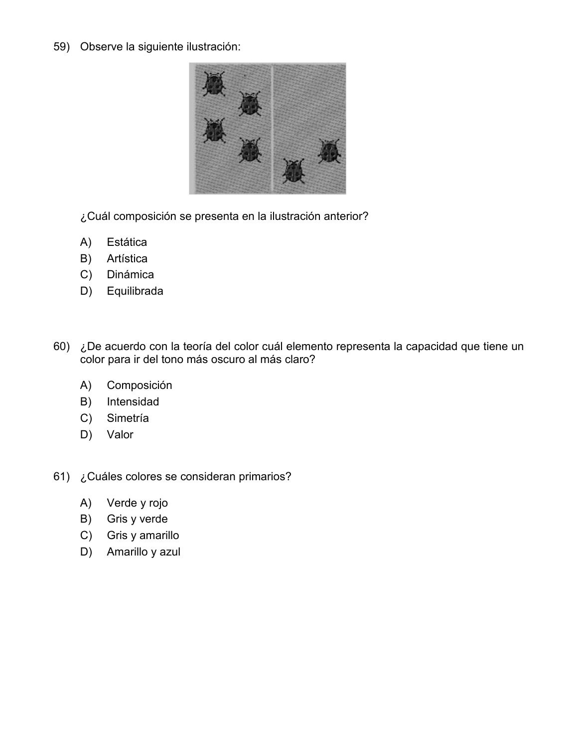59) Observe la siguiente ilustración:



- ¿Cuál composición se presenta en la ilustración anterior?
- A) Estática
- B) Artística
- C) Dinámica
- D) Equilibrada
- 60) ¿De acuerdo con la teoría del color cuál elemento representa la capacidad que tiene un color para ir del tono más oscuro al más claro?
	- A) Composición
	- B) Intensidad
	- C) Simetría
	- D) Valor
- 61) ¿Cuáles colores se consideran primarios?
	- A) Verde y rojo
	- B) Gris y verde
	- C) Gris y amarillo
	- D) Amarillo y azul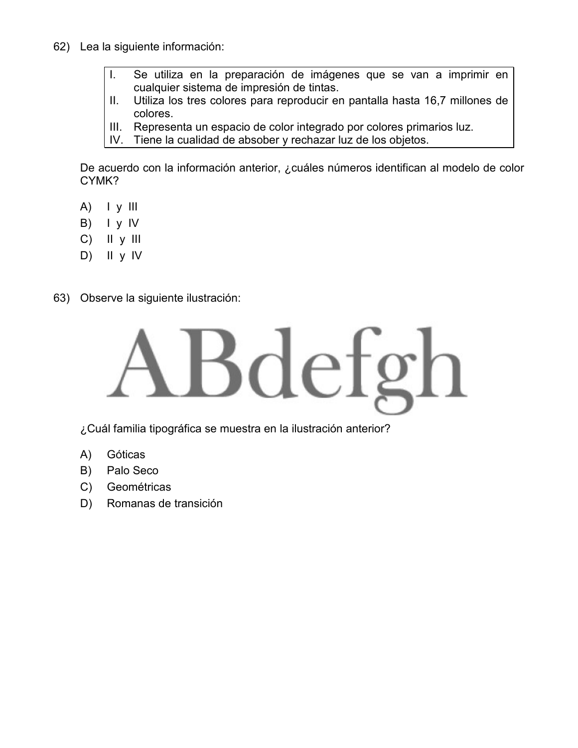- 62) Lea la siguiente información:
	- I. Se utiliza en la preparación de imágenes que se van a imprimir en cualquier sistema de impresión de tintas.
	- II. Utiliza los tres colores para reproducir en pantalla hasta 16,7 millones de colores.
	- III. Representa un espacio de color integrado por colores primarios luz.<br>IV. Tiene la cualidad de absober y rechazar luz de los obietos.
	- Tiene la cualidad de absober y rechazar luz de los objetos.

De acuerdo con la información anterior, ¿cuáles números identifican al modelo de color CYMK?

- $A)$  |  $y$  |||
- B)  $I \vee IV$
- C) II y III
- D) II y IV
- 63) Observe la siguiente ilustración:



¿Cuál familia tipográfica se muestra en la ilustración anterior?

- A) Góticas
- B) Palo Seco
- C) Geométricas
- D) Romanas de transición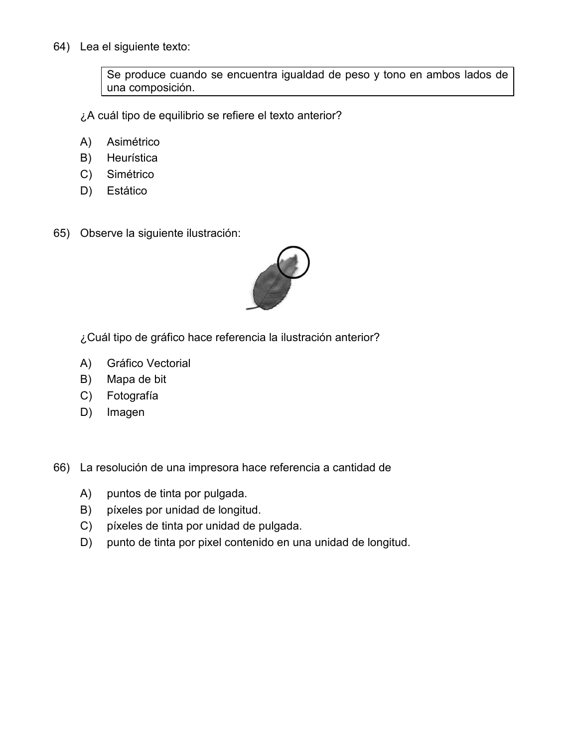64) Lea el siguiente texto:

Se produce cuando se encuentra igualdad de peso y tono en ambos lados de una composición.

¿A cuál tipo de equilibrio se refiere el texto anterior?

- A) Asimétrico
- B) Heurística
- C) Simétrico
- D) Estático
- 65) Observe la siguiente ilustración:



¿Cuál tipo de gráfico hace referencia la ilustración anterior?

- A) Gráfico Vectorial
- B) Mapa de bit
- C) Fotografía
- D) Imagen
- 66) La resolución de una impresora hace referencia a cantidad de
	- A) puntos de tinta por pulgada.
	- B) píxeles por unidad de longitud.
	- C) píxeles de tinta por unidad de pulgada.
	- D) punto de tinta por pixel contenido en una unidad de longitud.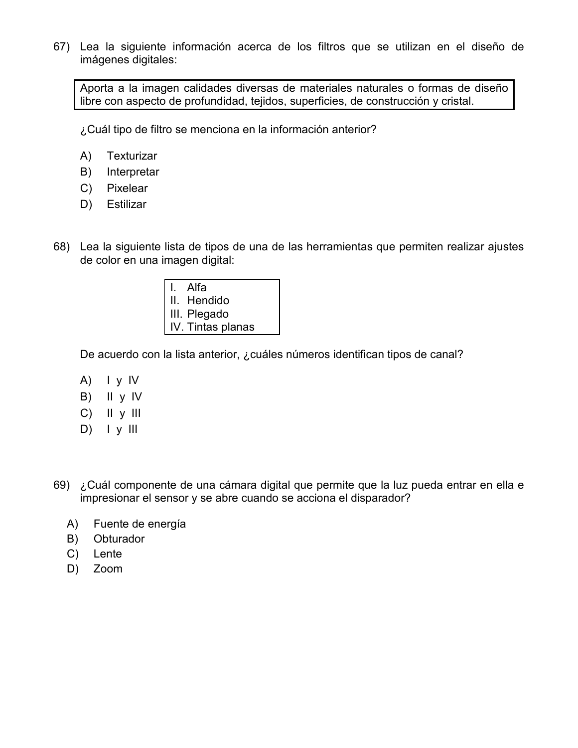67) Lea la siguiente información acerca de los filtros que se utilizan en el diseño de imágenes digitales:

Aporta a la imagen calidades diversas de materiales naturales o formas de diseño libre con aspecto de profundidad, tejidos, superficies, de construcción y cristal.

¿Cuál tipo de filtro se menciona en la información anterior?

- A) Texturizar
- B) Interpretar
- C) Pixelear
- D) Estilizar
- 68) Lea la siguiente lista de tipos de una de las herramientas que permiten realizar ajustes de color en una imagen digital:
	- I. Alfa II. Hendido III. Plegado IV. Tintas planas

De acuerdo con la lista anterior, ¿cuáles números identifican tipos de canal?

- A) I y IV
- B) II y IV
- C) II y III
- D) I y III
- 69) ¿Cuál componente de una cámara digital que permite que la luz pueda entrar en ella e impresionar el sensor y se abre cuando se acciona el disparador?
	- A) Fuente de energía
	- B) Obturador
	- C) Lente
	- D) Zoom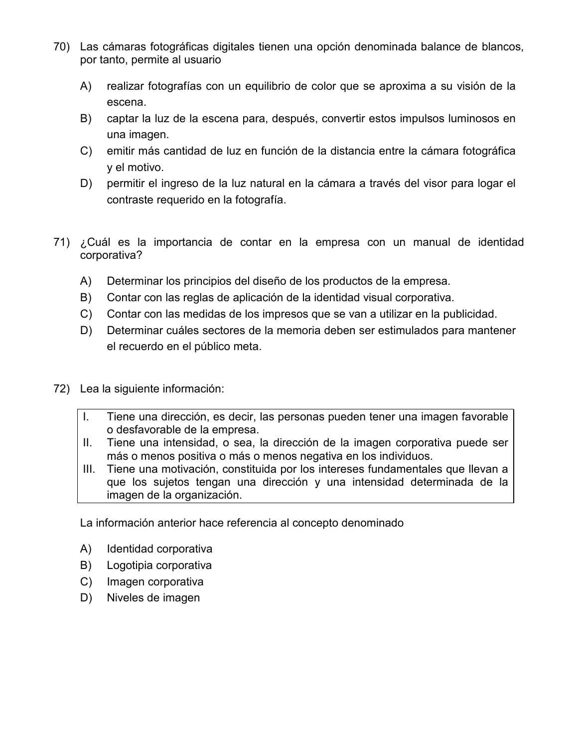- 70) Las cámaras fotográficas digitales tienen una opción denominada balance de blancos, por tanto, permite al usuario
	- A) realizar fotografías con un equilibrio de color que se aproxima a su visión de la escena.
	- B) captar la luz de la escena para, después, convertir estos impulsos luminosos en una imagen.
	- C) emitir más cantidad de luz en función de la distancia entre la cámara fotográfica y el motivo.
	- D) permitir el ingreso de la luz natural en la cámara a través del visor para logar el contraste requerido en la fotografía.
- 71) ¿Cuál es la importancia de contar en la empresa con un manual de identidad corporativa?
	- A) Determinar los principios del diseño de los productos de la empresa.
	- B) Contar con las reglas de aplicación de la identidad visual corporativa.
	- C) Contar con las medidas de los impresos que se van a utilizar en la publicidad.
	- D) Determinar cuáles sectores de la memoria deben ser estimulados para mantener el recuerdo en el público meta.
- 72) Lea la siguiente información:
	- I. Tiene una dirección, es decir, las personas pueden tener una imagen favorable o desfavorable de la empresa.
	- II. Tiene una intensidad, o sea, la dirección de la imagen corporativa puede ser más o menos positiva o más o menos negativa en los individuos.
	- III. Tiene una motivación, constituida por los intereses fundamentales que llevan a que los sujetos tengan una dirección y una intensidad determinada de la imagen de la organización.

La información anterior hace referencia al concepto denominado

- A) Identidad corporativa
- B) Logotipia corporativa
- C) Imagen corporativa
- D) Niveles de imagen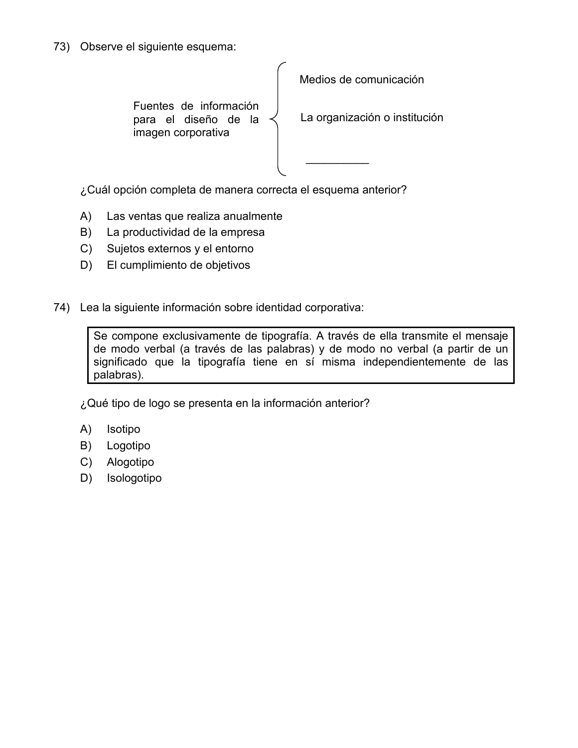73) Observe el siguiente esquema:

Medios de comunicación  $\frac{1}{2}$ Fuentes de información para el diseño de la imagen corporativa La organización o institución

¿Cuál opción completa de manera correcta el esquema anterior?

- A) Las ventas que realiza anualmente
- B) La productividad de la empresa
- C) Sujetos externos y el entorno
- D) El cumplimiento de objetivos
- 74) Lea la siguiente información sobre identidad corporativa:

Se compone exclusivamente de tipografía. A través de ella transmite el mensaje de modo verbal (a través de las palabras) y de modo no verbal (a partir de un significado que la tipografía tiene en sí misma independientemente de las palabras).

¿Qué tipo de logo se presenta en la información anterior?

- A) Isotipo
- B) Logotipo
- C) Alogotipo
- D) Isologotipo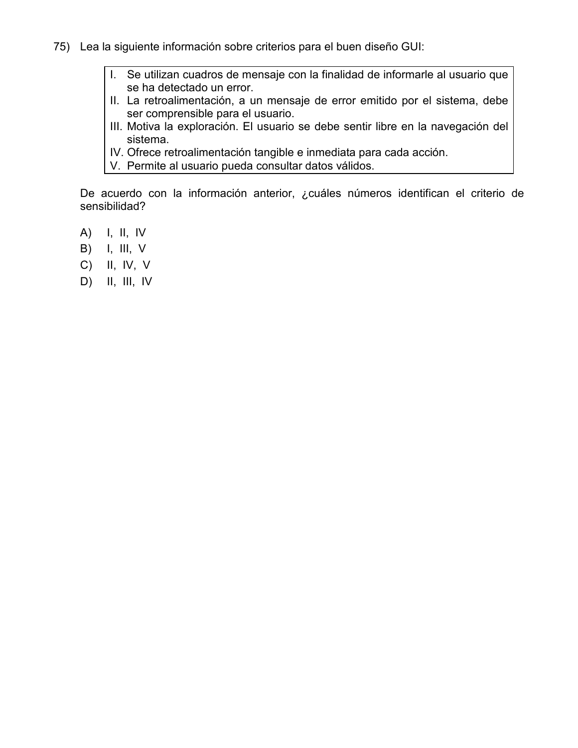- 75) Lea la siguiente información sobre criterios para el buen diseño GUI:
	- I. Se utilizan cuadros de mensaje con la finalidad de informarle al usuario que se ha detectado un error.
	- II. La retroalimentación, a un mensaje de error emitido por el sistema, debe ser comprensible para el usuario.
	- III. Motiva la exploración. El usuario se debe sentir libre en la navegación del sistema.
	- IV. Ofrece retroalimentación tangible e inmediata para cada acción.
	- V. Permite al usuario pueda consultar datos válidos.

De acuerdo con la información anterior, ¿cuáles números identifican el criterio de sensibilidad?

- A) I, II, IV
- B) I, III, V
- C) II, IV, V
- D) II, III, IV